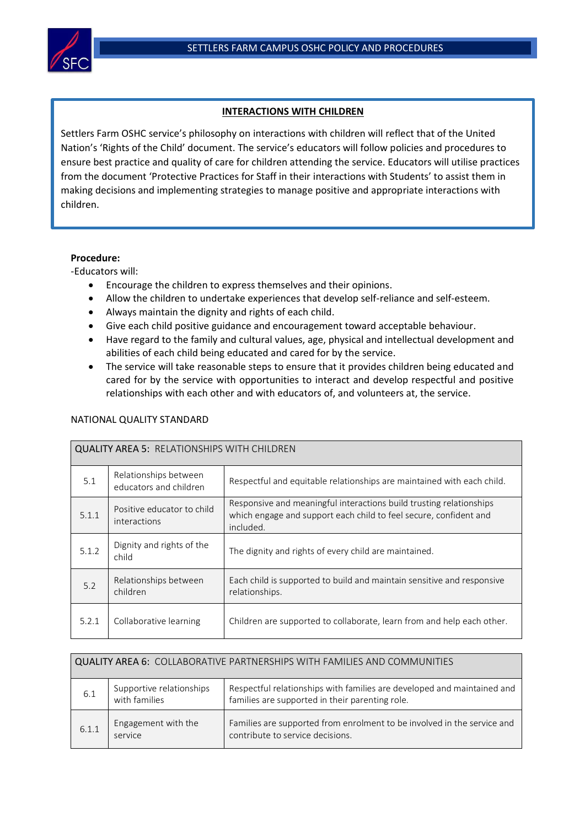

## **INTERACTIONS WITH CHILDREN**

Settlers Farm OSHC service's philosophy on interactions with children will reflect that of the United Nation's 'Rights of the Child' document. The service's educators will follow policies and procedures to ensure best practice and quality of care for children attending the service. Educators will utilise practices from the document 'Protective Practices for Staff in their interactions with Students' to assist them in making decisions and implementing strategies to manage positive and appropriate interactions with children.

## **Procedure:**

-Educators will:

- Encourage the children to express themselves and their opinions.
- Allow the children to undertake experiences that develop self-reliance and self-esteem.
- Always maintain the dignity and rights of each child.
- Give each child positive guidance and encouragement toward acceptable behaviour.
- Have regard to the family and cultural values, age, physical and intellectual development and abilities of each child being educated and cared for by the service.
- The service will take reasonable steps to ensure that it provides children being educated and cared for by the service with opportunities to interact and develop respectful and positive relationships with each other and with educators of, and volunteers at, the service.

| <b>QUALITY AREA 5: RELATIONSHIPS WITH CHILDREN</b> |                                                 |                                                                                                                                                       |  |  |
|----------------------------------------------------|-------------------------------------------------|-------------------------------------------------------------------------------------------------------------------------------------------------------|--|--|
| 5.1                                                | Relationships between<br>educators and children | Respectful and equitable relationships are maintained with each child.                                                                                |  |  |
| 5.1.1                                              | Positive educator to child<br>interactions      | Responsive and meaningful interactions build trusting relationships<br>which engage and support each child to feel secure, confident and<br>included. |  |  |
| 5.1.2                                              | Dignity and rights of the<br>child              | The dignity and rights of every child are maintained.                                                                                                 |  |  |
| 5.2                                                | Relationships between<br>children               | Each child is supported to build and maintain sensitive and responsive<br>relationships.                                                              |  |  |
| 5.2.1                                              | Collaborative learning                          | Children are supported to collaborate, learn from and help each other.                                                                                |  |  |

## NATIONAL QUALITY STANDARD

| 6.1   | Supportive relationships<br>with families | Respectful relationships with families are developed and maintained and<br>families are supported in their parenting role. |
|-------|-------------------------------------------|----------------------------------------------------------------------------------------------------------------------------|
| 6.1.1 | Engagement with the<br>service            | Families are supported from enrolment to be involved in the service and<br>contribute to service decisions.                |